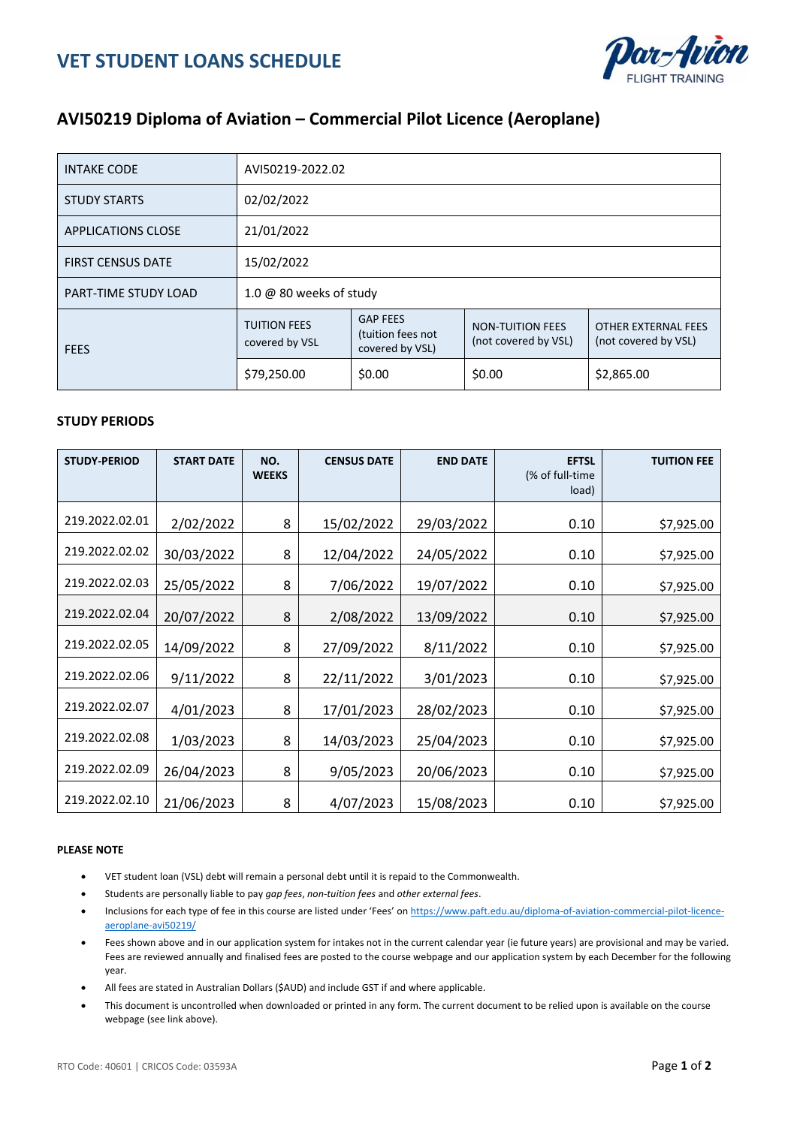

## **AVI50219 Diploma of Aviation – Commercial Pilot Licence (Aeroplane)**

| <b>INTAKE CODE</b>          | AVI50219-2022.02                      |                                                         |                                                 |                                                    |  |  |  |
|-----------------------------|---------------------------------------|---------------------------------------------------------|-------------------------------------------------|----------------------------------------------------|--|--|--|
| <b>STUDY STARTS</b>         | 02/02/2022                            |                                                         |                                                 |                                                    |  |  |  |
| <b>APPLICATIONS CLOSE</b>   | 21/01/2022                            |                                                         |                                                 |                                                    |  |  |  |
| <b>FIRST CENSUS DATE</b>    | 15/02/2022                            |                                                         |                                                 |                                                    |  |  |  |
| <b>PART-TIME STUDY LOAD</b> | 1.0 @ 80 weeks of study               |                                                         |                                                 |                                                    |  |  |  |
| <b>FEES</b>                 | <b>TUITION FEES</b><br>covered by VSL | <b>GAP FEES</b><br>(tuition fees not<br>covered by VSL) | <b>NON-TUITION FEES</b><br>(not covered by VSL) | <b>OTHER EXTERNAL FEES</b><br>(not covered by VSL) |  |  |  |
|                             | \$79,250.00                           | \$0.00                                                  | \$0.00                                          | \$2,865.00                                         |  |  |  |

## **STUDY PERIODS**

| <b>STUDY-PERIOD</b> | <b>START DATE</b> | NO.<br><b>WEEKS</b> | <b>CENSUS DATE</b> | <b>END DATE</b> | <b>EFTSL</b><br>(% of full-time)<br>load) | <b>TUITION FEE</b> |
|---------------------|-------------------|---------------------|--------------------|-----------------|-------------------------------------------|--------------------|
| 219.2022.02.01      | 2/02/2022         | 8                   | 15/02/2022         | 29/03/2022      | 0.10                                      | \$7,925.00         |
| 219.2022.02.02      | 30/03/2022        | 8                   | 12/04/2022         | 24/05/2022      | 0.10                                      | \$7,925.00         |
| 219.2022.02.03      | 25/05/2022        | 8                   | 7/06/2022          | 19/07/2022      | 0.10                                      | \$7,925.00         |
| 219.2022.02.04      | 20/07/2022        | 8                   | 2/08/2022          | 13/09/2022      | 0.10                                      | \$7,925.00         |
| 219.2022.02.05      | 14/09/2022        | 8                   | 27/09/2022         | 8/11/2022       | 0.10                                      | \$7,925.00         |
| 219.2022.02.06      | 9/11/2022         | 8                   | 22/11/2022         | 3/01/2023       | 0.10                                      | \$7,925.00         |
| 219.2022.02.07      | 4/01/2023         | 8                   | 17/01/2023         | 28/02/2023      | 0.10                                      | \$7,925.00         |
| 219.2022.02.08      | 1/03/2023         | 8                   | 14/03/2023         | 25/04/2023      | 0.10                                      | \$7,925.00         |
| 219.2022.02.09      | 26/04/2023        | 8                   | 9/05/2023          | 20/06/2023      | 0.10                                      | \$7,925.00         |
| 219.2022.02.10      | 21/06/2023        | 8                   | 4/07/2023          | 15/08/2023      | 0.10                                      | \$7,925.00         |

## **PLEASE NOTE**

- VET student loan (VSL) debt will remain a personal debt until it is repaid to the Commonwealth.
- Students are personally liable to pay *gap fees*, *non-tuition fees* and *other external fees*.
- Inclusions for each type of fee in this course are listed under 'Fees' on [https://www.paft.edu.au/diploma-of-aviation-commercial-pilot-licence](https://www.paft.edu.au/diploma-of-aviation-commercial-pilot-licence-aeroplane-avi50219/)[aeroplane-avi50219/](https://www.paft.edu.au/diploma-of-aviation-commercial-pilot-licence-aeroplane-avi50219/)
- Fees shown above and in our application system for intakes not in the current calendar year (ie future years) are provisional and may be varied. Fees are reviewed annually and finalised fees are posted to the course webpage and our application system by each December for the following year.
- All fees are stated in Australian Dollars (\$AUD) and include GST if and where applicable.
- This document is uncontrolled when downloaded or printed in any form. The current document to be relied upon is available on the course webpage (see link above).